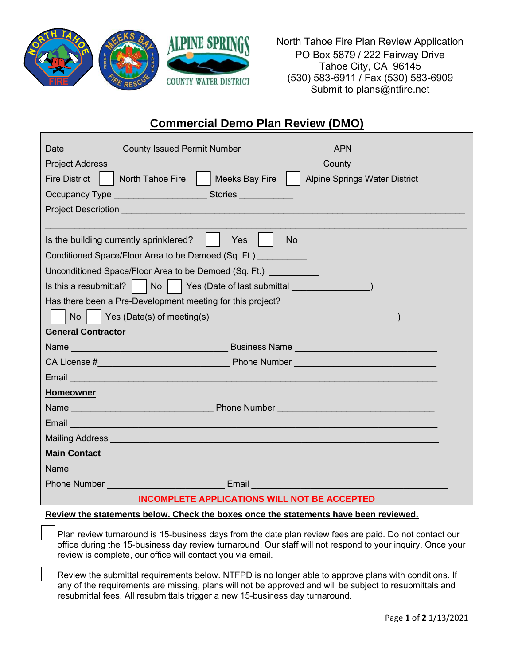

North Tahoe Fire Plan Review Application PO Box 5879 / 222 Fairway Drive Tahoe City, CA 96145 (530) 583-6911 / Fax (530) 583-6909 Submit to plans@ntfire.net

## **Commercial Demo Plan Review (DMO)**

|                                                                                                                                                                                                                                    | Date County Issued Permit Number                                                                                                                                                                                                                                     |                                                              |  |  |
|------------------------------------------------------------------------------------------------------------------------------------------------------------------------------------------------------------------------------------|----------------------------------------------------------------------------------------------------------------------------------------------------------------------------------------------------------------------------------------------------------------------|--------------------------------------------------------------|--|--|
| <b>Project Address Contract Contract Contract Contract Contract Contract Contract Contract Contract Contract Contract Contract Contract Contract Contract Contract Contract Contract Contract Contract Contract Contract Contr</b> |                                                                                                                                                                                                                                                                      | County <u>County</u>                                         |  |  |
| <b>Fire District</b>                                                                                                                                                                                                               | North Tahoe Fire                                                                                                                                                                                                                                                     | Meeks Bay Fire     Alpine Springs Water District             |  |  |
|                                                                                                                                                                                                                                    | Occupancy Type ___________________<br>Stories and the state of the state of the state of the state of the state of the state of the state of the state of the state of the state of the state of the state of the state of the state of the state of the state of th |                                                              |  |  |
| Project Description <b>Contract Contract Contract Contract Contract Contract Contract Contract Contract Contract</b>                                                                                                               |                                                                                                                                                                                                                                                                      |                                                              |  |  |
|                                                                                                                                                                                                                                    |                                                                                                                                                                                                                                                                      |                                                              |  |  |
| Is the building currently sprinklered?<br>Yes<br><b>No</b>                                                                                                                                                                         |                                                                                                                                                                                                                                                                      |                                                              |  |  |
| Conditioned Space/Floor Area to be Demoed (Sq. Ft.)                                                                                                                                                                                |                                                                                                                                                                                                                                                                      |                                                              |  |  |
| Unconditioned Space/Floor Area to be Demoed (Sq. Ft.)                                                                                                                                                                              |                                                                                                                                                                                                                                                                      |                                                              |  |  |
| Is this a resubmittal? $\mid$                                                                                                                                                                                                      |                                                                                                                                                                                                                                                                      | No   Yes (Date of last submittal _ _ _ _ _ _ _ _ _ _ _ _ _ _ |  |  |
| Has there been a Pre-Development meeting for this project?                                                                                                                                                                         |                                                                                                                                                                                                                                                                      |                                                              |  |  |
| No                                                                                                                                                                                                                                 |                                                                                                                                                                                                                                                                      |                                                              |  |  |
| <b>General Contractor</b>                                                                                                                                                                                                          |                                                                                                                                                                                                                                                                      |                                                              |  |  |
|                                                                                                                                                                                                                                    |                                                                                                                                                                                                                                                                      |                                                              |  |  |
|                                                                                                                                                                                                                                    |                                                                                                                                                                                                                                                                      |                                                              |  |  |
|                                                                                                                                                                                                                                    | <u>Email —————————————————————————————</u>                                                                                                                                                                                                                           |                                                              |  |  |
| <b>Homeowner</b>                                                                                                                                                                                                                   |                                                                                                                                                                                                                                                                      |                                                              |  |  |
|                                                                                                                                                                                                                                    |                                                                                                                                                                                                                                                                      |                                                              |  |  |
|                                                                                                                                                                                                                                    | Email <u>Communication and Communications</u>                                                                                                                                                                                                                        |                                                              |  |  |
|                                                                                                                                                                                                                                    |                                                                                                                                                                                                                                                                      |                                                              |  |  |
| <b>Main Contact</b>                                                                                                                                                                                                                |                                                                                                                                                                                                                                                                      |                                                              |  |  |
|                                                                                                                                                                                                                                    | Name 2008 2009 2009 2009 2009 2009 2010 2021 2022 2023 2024 2022 2023 2024 2022 2023 2024 2025 2026 2027 2028 20                                                                                                                                                     |                                                              |  |  |
| <b>Phone Number</b>                                                                                                                                                                                                                | Email                                                                                                                                                                                                                                                                |                                                              |  |  |
| <b>INCOMPLETE APPLICATIONS WILL NOT BE ACCEPTED</b>                                                                                                                                                                                |                                                                                                                                                                                                                                                                      |                                                              |  |  |

**Review the statements below. Check the boxes once the statements have been reviewed.**

Plan review turnaround is 15-business days from the date plan review fees are paid. Do not contact our office during the 15-business day review turnaround. Our staff will not respond to your inquiry. Once your review is complete, our office will contact you via email.

Review the submittal requirements below. NTFPD is no longer able to approve plans with conditions. If any of the requirements are missing, plans will not be approved and will be subject to resubmittals and resubmittal fees. All resubmittals trigger a new 15-business day turnaround.